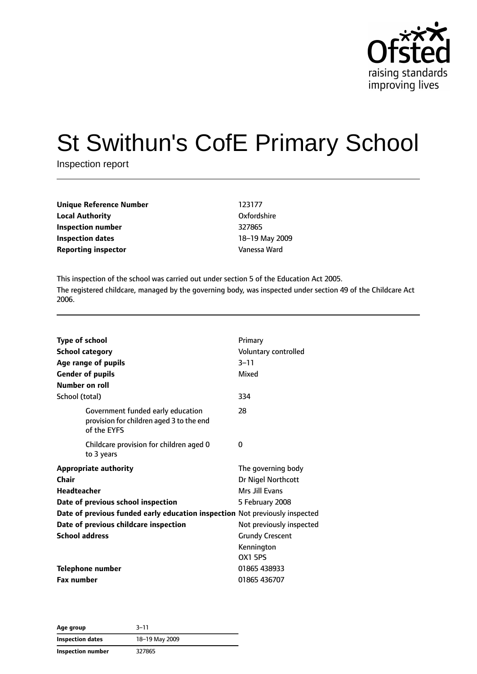

# St Swithun's CofE Primary School

Inspection report

| Unique Reference Number    | 123177         |
|----------------------------|----------------|
| Local Authority            | Oxfordshire    |
| Inspection number          | 327865         |
| Inspection dates           | 18-19 May 2009 |
| <b>Reporting inspector</b> | Vanessa Ward   |
|                            |                |

This inspection of the school was carried out under section 5 of the Education Act 2005. The registered childcare, managed by the governing body, was inspected under section 49 of the Childcare Act 2006.

| <b>Type of school</b><br><b>School category</b><br>Age range of pupils<br><b>Gender of pupils</b><br>Number on roll |                                                                               | Primary<br>Voluntary controlled<br>$3 - 11$<br>Mixed                          |
|---------------------------------------------------------------------------------------------------------------------|-------------------------------------------------------------------------------|-------------------------------------------------------------------------------|
| School (total)                                                                                                      |                                                                               | 334                                                                           |
| of the EYFS                                                                                                         | Government funded early education<br>provision for children aged 3 to the end | 28                                                                            |
| to 3 years                                                                                                          | Childcare provision for children aged 0                                       | 0                                                                             |
| <b>Appropriate authority</b><br>Chair<br><b>Headteacher</b><br>Date of previous school inspection                   |                                                                               | The governing body<br>Dr Nigel Northcott<br>Mrs Jill Fyans<br>5 February 2008 |
|                                                                                                                     | Date of previous funded early education inspection Not previously inspected   |                                                                               |
| Date of previous childcare inspection                                                                               |                                                                               | Not previously inspected                                                      |
| <b>School address</b>                                                                                               |                                                                               | <b>Grundy Crescent</b>                                                        |
|                                                                                                                     |                                                                               | Kennington<br><b>OX1 5PS</b>                                                  |
| <b>Telephone number</b>                                                                                             |                                                                               | 01865 438933                                                                  |
| <b>Fax number</b>                                                                                                   |                                                                               | 01865 436707                                                                  |

**Age group** 3–11 **Inspection dates** 18–19 May 2009 **Inspection number** 327865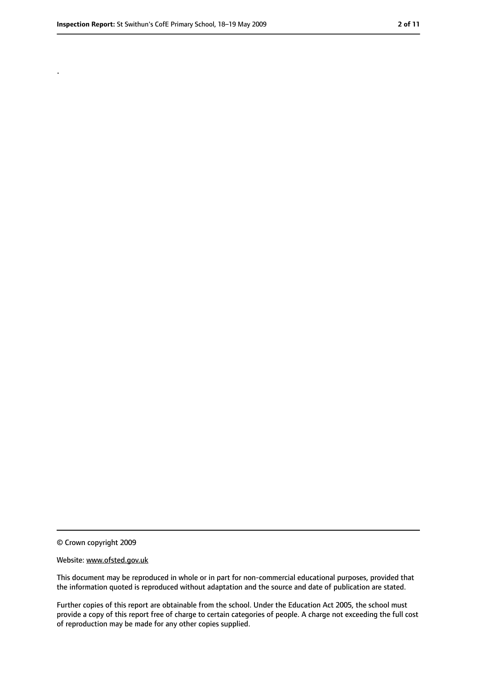.

<sup>©</sup> Crown copyright 2009

Website: www.ofsted.gov.uk

This document may be reproduced in whole or in part for non-commercial educational purposes, provided that the information quoted is reproduced without adaptation and the source and date of publication are stated.

Further copies of this report are obtainable from the school. Under the Education Act 2005, the school must provide a copy of this report free of charge to certain categories of people. A charge not exceeding the full cost of reproduction may be made for any other copies supplied.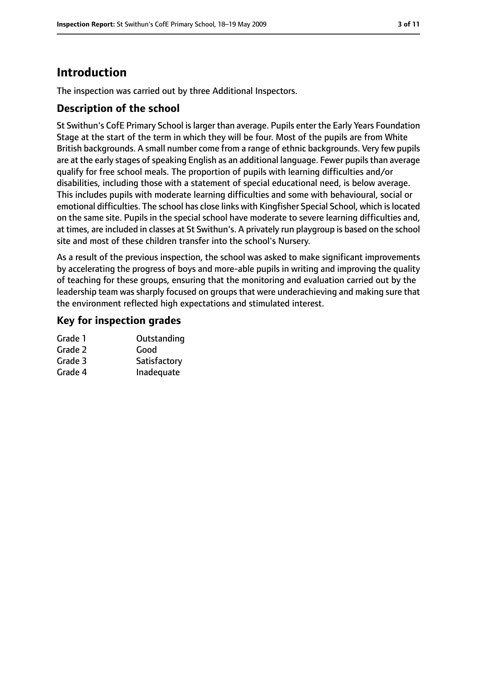# **Introduction**

The inspection was carried out by three Additional Inspectors.

#### **Description of the school**

St Swithun's CofE Primary School islarger than average. Pupils enter the Early Years Foundation Stage at the start of the term in which they will be four. Most of the pupils are from White British backgrounds. A small number come from a range of ethnic backgrounds. Very few pupils are at the early stages of speaking English as an additional language. Fewer pupils than average qualify for free school meals. The proportion of pupils with learning difficulties and/or disabilities, including those with a statement of special educational need, is below average. This includes pupils with moderate learning difficulties and some with behavioural, social or emotional difficulties. The school has close links with Kingfisher Special School, which islocated on the same site. Pupils in the special school have moderate to severe learning difficulties and, at times, are included in classes at St Swithun's. A privately run playgroup is based on the school site and most of these children transfer into the school's Nursery.

As a result of the previous inspection, the school was asked to make significant improvements by accelerating the progress of boys and more-able pupils in writing and improving the quality of teaching for these groups, ensuring that the monitoring and evaluation carried out by the leadership team was sharply focused on groups that were underachieving and making sure that the environment reflected high expectations and stimulated interest.

#### **Key for inspection grades**

| Outstanding  |
|--------------|
| Good         |
| Satisfactory |
| Inadequate   |
|              |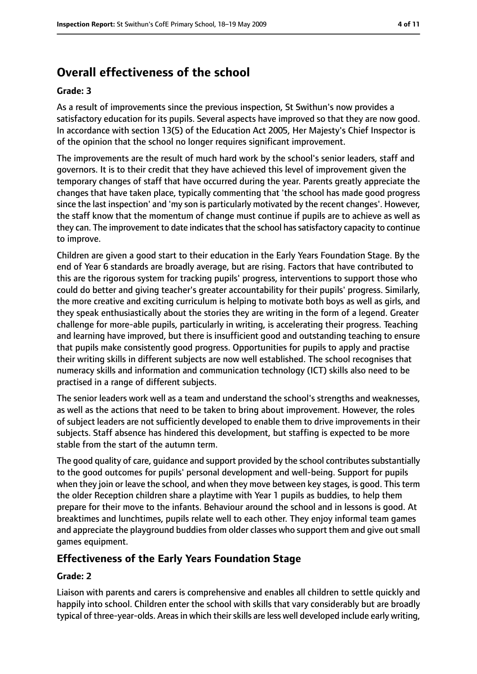# **Overall effectiveness of the school**

#### **Grade: 3**

As a result of improvements since the previous inspection, St Swithun's now provides a satisfactory education for its pupils. Several aspects have improved so that they are now good. In accordance with section 13(5) of the Education Act 2005, Her Majesty's Chief Inspector is of the opinion that the school no longer requires significant improvement.

The improvements are the result of much hard work by the school's senior leaders, staff and governors. It is to their credit that they have achieved this level of improvement given the temporary changes of staff that have occurred during the year. Parents greatly appreciate the changes that have taken place, typically commenting that 'the school has made good progress since the last inspection' and 'my son is particularly motivated by the recent changes'. However, the staff know that the momentum of change must continue if pupils are to achieve as well as they can. The improvement to date indicates that the school has satisfactory capacity to continue to improve.

Children are given a good start to their education in the Early Years Foundation Stage. By the end of Year 6 standards are broadly average, but are rising. Factors that have contributed to this are the rigorous system for tracking pupils' progress, interventions to support those who could do better and giving teacher's greater accountability for their pupils' progress. Similarly, the more creative and exciting curriculum is helping to motivate both boys as well as girls, and they speak enthusiastically about the stories they are writing in the form of a legend. Greater challenge for more-able pupils, particularly in writing, is accelerating their progress. Teaching and learning have improved, but there is insufficient good and outstanding teaching to ensure that pupils make consistently good progress. Opportunities for pupils to apply and practise their writing skills in different subjects are now well established. The school recognises that numeracy skills and information and communication technology (ICT) skills also need to be practised in a range of different subjects.

The senior leaders work well as a team and understand the school's strengths and weaknesses, as well as the actions that need to be taken to bring about improvement. However, the roles of subject leaders are not sufficiently developed to enable them to drive improvements in their subjects. Staff absence has hindered this development, but staffing is expected to be more stable from the start of the autumn term.

The good quality of care, quidance and support provided by the school contributes substantially to the good outcomes for pupils' personal development and well-being. Support for pupils when they join or leave the school, and when they move between key stages, is good. This term the older Reception children share a playtime with Year 1 pupils as buddies, to help them prepare for their move to the infants. Behaviour around the school and in lessons is good. At breaktimes and lunchtimes, pupils relate well to each other. They enjoy informal team games and appreciate the playground buddies from older classes who support them and give out small games equipment.

#### **Effectiveness of the Early Years Foundation Stage**

#### **Grade: 2**

Liaison with parents and carers is comprehensive and enables all children to settle quickly and happily into school. Children enter the school with skills that vary considerably but are broadly typical of three-year-olds. Areas in which their skills are less well developed include early writing,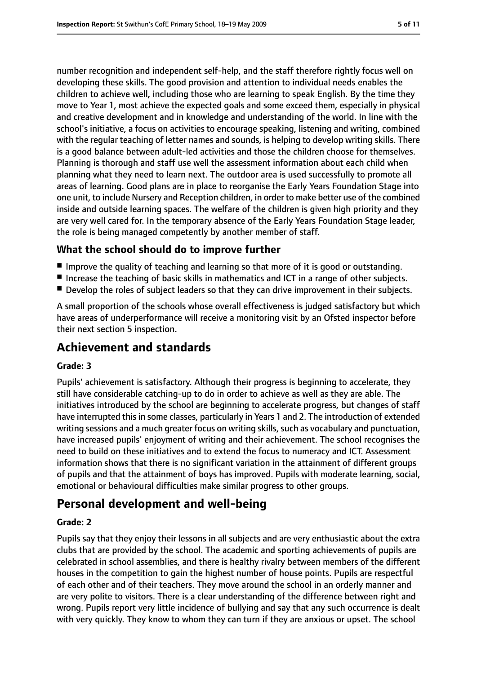number recognition and independent self-help, and the staff therefore rightly focus well on developing these skills. The good provision and attention to individual needs enables the children to achieve well, including those who are learning to speak English. By the time they move to Year 1, most achieve the expected goals and some exceed them, especially in physical and creative development and in knowledge and understanding of the world. In line with the school's initiative, a focus on activities to encourage speaking, listening and writing, combined with the regular teaching of letter names and sounds, is helping to develop writing skills. There is a good balance between adult-led activities and those the children choose for themselves. Planning is thorough and staff use well the assessment information about each child when planning what they need to learn next. The outdoor area is used successfully to promote all areas of learning. Good plans are in place to reorganise the Early Years Foundation Stage into one unit, to include Nursery and Reception children, in order to make better use of the combined inside and outside learning spaces. The welfare of the children is given high priority and they are very well cared for. In the temporary absence of the Early Years Foundation Stage leader, the role is being managed competently by another member of staff.

#### **What the school should do to improve further**

- Improve the quality of teaching and learning so that more of it is good or outstanding.
- Increase the teaching of basic skills in mathematics and ICT in a range of other subjects.
- Develop the roles of subject leaders so that they can drive improvement in their subjects.

A small proportion of the schools whose overall effectiveness is judged satisfactory but which have areas of underperformance will receive a monitoring visit by an Ofsted inspector before their next section 5 inspection.

# **Achievement and standards**

#### **Grade: 3**

Pupils' achievement is satisfactory. Although their progress is beginning to accelerate, they still have considerable catching-up to do in order to achieve as well as they are able. The initiatives introduced by the school are beginning to accelerate progress, but changes of staff have interrupted this in some classes, particularly in Years 1 and 2. The introduction of extended writing sessions and a much greater focus on writing skills, such as vocabulary and punctuation, have increased pupils' enjoyment of writing and their achievement. The school recognises the need to build on these initiatives and to extend the focus to numeracy and ICT. Assessment information shows that there is no significant variation in the attainment of different groups of pupils and that the attainment of boys has improved. Pupils with moderate learning, social, emotional or behavioural difficulties make similar progress to other groups.

#### **Personal development and well-being**

#### **Grade: 2**

Pupils say that they enjoy their lessons in all subjects and are very enthusiastic about the extra clubs that are provided by the school. The academic and sporting achievements of pupils are celebrated in school assemblies, and there is healthy rivalry between members of the different houses in the competition to gain the highest number of house points. Pupils are respectful of each other and of their teachers. They move around the school in an orderly manner and are very polite to visitors. There is a clear understanding of the difference between right and wrong. Pupils report very little incidence of bullying and say that any such occurrence is dealt with very quickly. They know to whom they can turn if they are anxious or upset. The school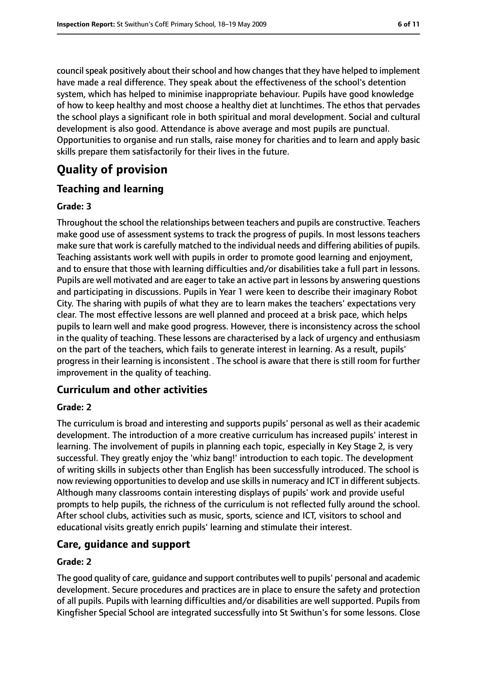council speak positively about their school and how changes that they have helped to implement have made a real difference. They speak about the effectiveness of the school's detention system, which has helped to minimise inappropriate behaviour. Pupils have good knowledge of how to keep healthy and most choose a healthy diet at lunchtimes. The ethos that pervades the school plays a significant role in both spiritual and moral development. Social and cultural development is also good. Attendance is above average and most pupils are punctual. Opportunities to organise and run stalls, raise money for charities and to learn and apply basic skills prepare them satisfactorily for their lives in the future.

# **Quality of provision**

#### **Teaching and learning**

#### **Grade: 3**

Throughout the school the relationships between teachers and pupils are constructive. Teachers make good use of assessment systems to track the progress of pupils. In most lessons teachers make sure that work is carefully matched to the individual needs and differing abilities of pupils. Teaching assistants work well with pupils in order to promote good learning and enjoyment, and to ensure that those with learning difficulties and/or disabilities take a full part in lessons. Pupils are well motivated and are eager to take an active part in lessons by answering questions and participating in discussions. Pupils in Year 1 were keen to describe their imaginary Robot City. The sharing with pupils of what they are to learn makes the teachers' expectations very clear. The most effective lessons are well planned and proceed at a brisk pace, which helps pupils to learn well and make good progress. However, there is inconsistency across the school in the quality of teaching. These lessons are characterised by a lack of urgency and enthusiasm on the part of the teachers, which fails to generate interest in learning. As a result, pupils' progress in their learning is inconsistent . The school is aware that there is still room for further improvement in the quality of teaching.

#### **Curriculum and other activities**

#### **Grade: 2**

The curriculum is broad and interesting and supports pupils' personal as well as their academic development. The introduction of a more creative curriculum has increased pupils' interest in learning. The involvement of pupils in planning each topic, especially in Key Stage 2, is very successful. They greatly enjoy the 'whiz bang!' introduction to each topic. The development of writing skills in subjects other than English has been successfully introduced. The school is now reviewing opportunities to develop and use skills in numeracy and ICT in different subjects. Although many classrooms contain interesting displays of pupils' work and provide useful prompts to help pupils, the richness of the curriculum is not reflected fully around the school. After school clubs, activities such as music, sports, science and ICT, visitors to school and educational visits greatly enrich pupils' learning and stimulate their interest.

#### **Care, guidance and support**

#### **Grade: 2**

The good quality of care, guidance and support contributes well to pupils' personal and academic development. Secure procedures and practices are in place to ensure the safety and protection of all pupils. Pupils with learning difficulties and/or disabilities are well supported. Pupils from Kingfisher Special School are integrated successfully into St Swithun's for some lessons. Close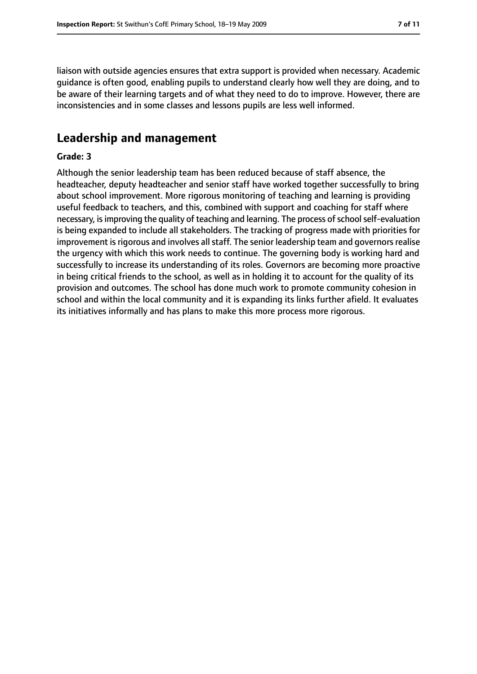liaison with outside agencies ensures that extra support is provided when necessary. Academic guidance is often good, enabling pupils to understand clearly how well they are doing, and to be aware of their learning targets and of what they need to do to improve. However, there are inconsistencies and in some classes and lessons pupils are less well informed.

### **Leadership and management**

#### **Grade: 3**

Although the senior leadership team has been reduced because of staff absence, the headteacher, deputy headteacher and senior staff have worked together successfully to bring about school improvement. More rigorous monitoring of teaching and learning is providing useful feedback to teachers, and this, combined with support and coaching for staff where necessary, is improving the quality of teaching and learning. The process of school self-evaluation is being expanded to include all stakeholders. The tracking of progress made with priorities for improvement is rigorous and involves all staff. The senior leadership team and governors realise the urgency with which this work needs to continue. The governing body is working hard and successfully to increase its understanding of its roles. Governors are becoming more proactive in being critical friends to the school, as well as in holding it to account for the quality of its provision and outcomes. The school has done much work to promote community cohesion in school and within the local community and it is expanding its links further afield. It evaluates its initiatives informally and has plans to make this more process more rigorous.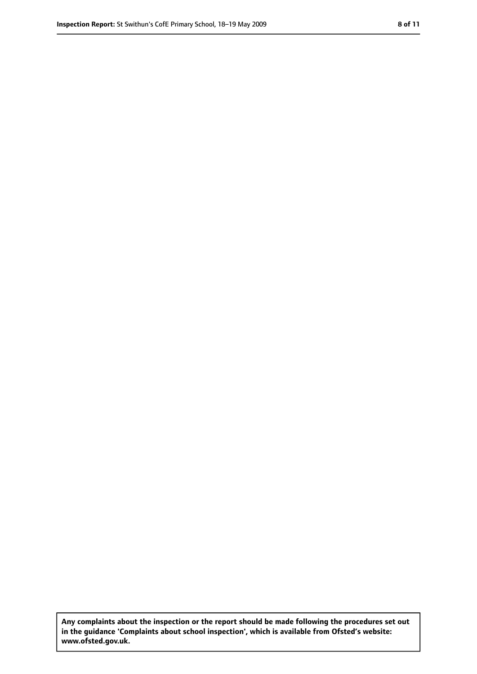**Any complaints about the inspection or the report should be made following the procedures set out in the guidance 'Complaints about school inspection', which is available from Ofsted's website: www.ofsted.gov.uk.**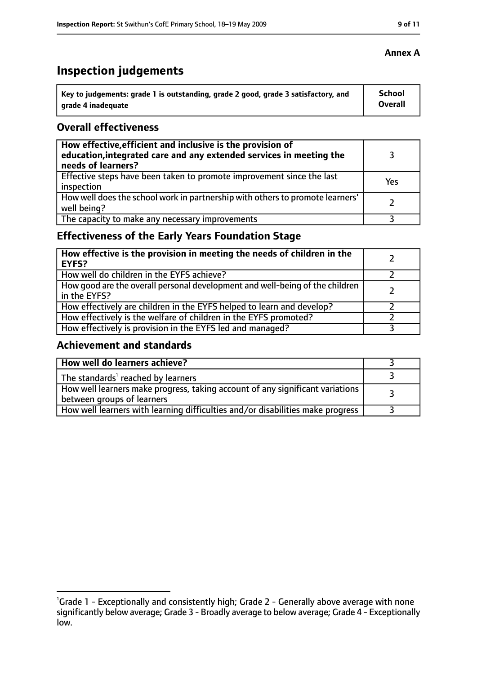# **Inspection judgements**

| Key to judgements: grade 1 is outstanding, grade 2 good, grade 3 satisfactory, and | School  |
|------------------------------------------------------------------------------------|---------|
| arade 4 inadequate                                                                 | Overall |

#### **Overall effectiveness**

| How effective, efficient and inclusive is the provision of<br>education, integrated care and any extended services in meeting the<br>needs of learners? |     |
|---------------------------------------------------------------------------------------------------------------------------------------------------------|-----|
| Effective steps have been taken to promote improvement since the last<br>inspection                                                                     | Yes |
| How well does the school work in partnership with others to promote learners'<br>well being?                                                            |     |
| The capacity to make any necessary improvements                                                                                                         |     |

### **Effectiveness of the Early Years Foundation Stage**

| How effective is the provision in meeting the needs of children in the<br><b>EYFS?</b>       |  |
|----------------------------------------------------------------------------------------------|--|
| How well do children in the EYFS achieve?                                                    |  |
| How good are the overall personal development and well-being of the children<br>in the EYFS? |  |
| How effectively are children in the EYFS helped to learn and develop?                        |  |
| How effectively is the welfare of children in the EYFS promoted?                             |  |
| How effectively is provision in the EYFS led and managed?                                    |  |

#### **Achievement and standards**

| How well do learners achieve?                                                                               |  |
|-------------------------------------------------------------------------------------------------------------|--|
| The standards <sup>1</sup> reached by learners                                                              |  |
| How well learners make progress, taking account of any significant variations<br>between groups of learners |  |
| How well learners with learning difficulties and/or disabilities make progress                              |  |

#### **Annex A**

<sup>&</sup>lt;sup>1</sup>Grade 1 - Exceptionally and consistently high; Grade 2 - Generally above average with none significantly below average; Grade 3 - Broadly average to below average; Grade 4 - Exceptionally low.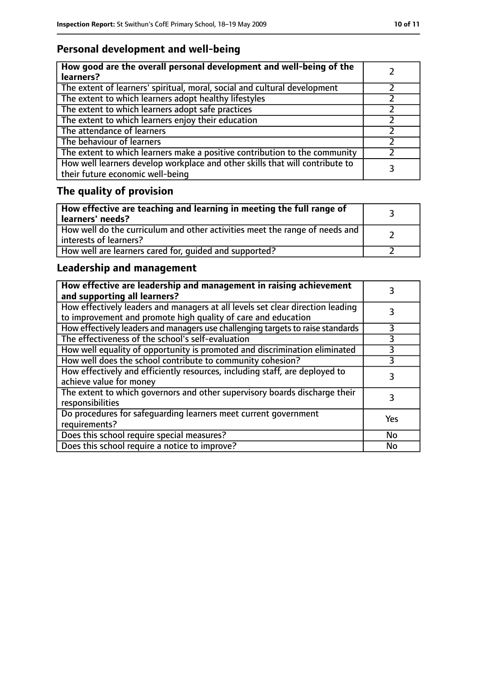# **Personal development and well-being**

| How good are the overall personal development and well-being of the<br>learners?                                 |  |
|------------------------------------------------------------------------------------------------------------------|--|
| The extent of learners' spiritual, moral, social and cultural development                                        |  |
| The extent to which learners adopt healthy lifestyles                                                            |  |
| The extent to which learners adopt safe practices                                                                |  |
| The extent to which learners enjoy their education                                                               |  |
| The attendance of learners                                                                                       |  |
| The behaviour of learners                                                                                        |  |
| The extent to which learners make a positive contribution to the community                                       |  |
| How well learners develop workplace and other skills that will contribute to<br>their future economic well-being |  |

# **The quality of provision**

| How effective are teaching and learning in meeting the full range of<br>learners' needs?                |  |
|---------------------------------------------------------------------------------------------------------|--|
| How well do the curriculum and other activities meet the range of needs and<br>  interests of learners? |  |
| How well are learners cared for, quided and supported?                                                  |  |

### **Leadership and management**

| How effective are leadership and management in raising achievement<br>and supporting all learners?                                              |     |
|-------------------------------------------------------------------------------------------------------------------------------------------------|-----|
| How effectively leaders and managers at all levels set clear direction leading<br>to improvement and promote high quality of care and education |     |
| How effectively leaders and managers use challenging targets to raise standards                                                                 |     |
| The effectiveness of the school's self-evaluation                                                                                               | 3   |
| How well equality of opportunity is promoted and discrimination eliminated                                                                      | 3   |
| How well does the school contribute to community cohesion?                                                                                      | 3   |
| How effectively and efficiently resources, including staff, are deployed to<br>achieve value for money                                          | 3   |
| The extent to which governors and other supervisory boards discharge their<br>responsibilities                                                  |     |
| Do procedures for safequarding learners meet current government<br>requirements?                                                                | Yes |
| Does this school require special measures?                                                                                                      | No  |
| Does this school require a notice to improve?                                                                                                   | No  |